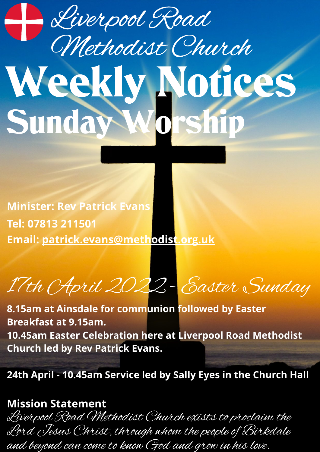## Weekly Notices Sunday Wor Liverpool Road Methodist Church

**Minister: Rev Patrick Evans Tel: 07813 211501 Email: [patrick.evans@methodist.org.uk](mailto:patrick.evans@methodist.org.uk)**

17th April 2022 - Easter Sunday

**8.15am at Ainsdale for communion followed by Easter Breakfast at 9.15am. 10.45am Easter Celebration here at Liverpool Road Methodist Church led by Rev Patrick Evans.**

**24th April - 10.45am Service led by Sally Eyes in the Church Hall**

## **Mission Statement**

Liverpool Road Methodist Church exists to proclaim the Lord Jesus Christ, through whom the people of Birkdale and beyond can come to know God and grow in his love.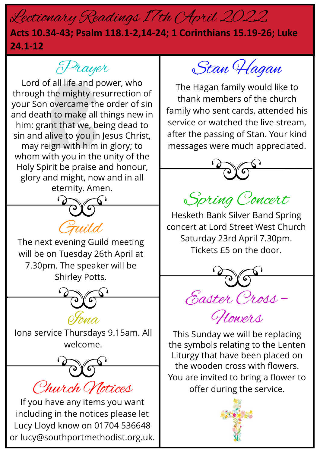## Lectionary Readings 17th April 2022

## **Acts 10.34-43; Psalm 118.1-2,14-24; 1 Corinthians 15.19-26; Luke 24.1-12**



Lord of all life and power, who through the mighty resurrection of your Son overcame the order of sin and death to make all things new in him: grant that we, being dead to sin and alive to you in Jesus Christ, may reign with him in glory; to whom with you in the unity of the Holy Spirit be praise and honour, glory and might, now and in all eternity. Amen.



The next evening Guild meeting will be on Tuesday 26th April at 7.30pm. The speaker will be Shirley Potts.



Iona service Thursdays 9.15am. All welcome.

Church Notices

If you have any items you want including in the notices please let Lucy Lloyd know on 01704 536648 or lucy@southportmethodist.org.uk.

Stan Hagan

The Hagan family would like to thank members of the church family who sent cards, attended his service or watched the live stream, after the passing of Stan. Your kind messages were much appreciated.



Spring Concert

Hesketh Bank Silver Band Spring concert at Lord Street West Church Saturday 23rd April 7.30pm. Tickets £5 on the door.



Flowers

This Sunday we will be replacing the symbols relating to the Lenten Liturgy that have been placed on the wooden cross with flowers. You are invited to bring a flower to offer during the service.

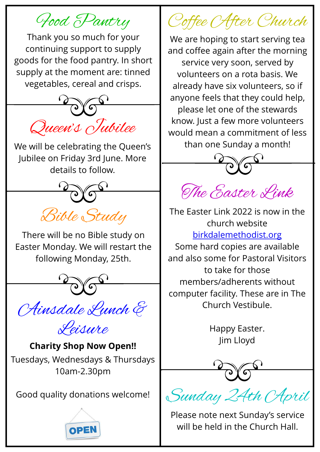Food Pantry

Thank you so much for your continuing support to supply goods for the food pantry. In short supply at the moment are: tinned vegetables, cereal and crisps.



We will be celebrating the Queen's Jubilee on Friday 3rd June. More details to follow.



There will be no Bible study on Easter Monday. We will restart the following Monday, 25th.



Ainsdale Lunch & Leisure

**Charity Shop Now Open!!** Tuesdays, Wednesdays & Thursdays 10am-2.30pm

Good quality donations welcome!



Coffee After Church

We are hoping to start serving tea and coffee again after the morning service very soon, served by volunteers on a rota basis. We already have six volunteers, so if anyone feels that they could help, please let one of the stewards know. Just a few more volunteers would mean a commitment of less than one Sunday a month!



The Easter Link

The Easter Link 2022 is now in the church website [birkdalemethodist.org](http://birkdalemethodist.org/)

Some hard copies are available and also some for Pastoral Visitors to take for those members/adherents without computer facility. These are in The Church Vestibule.

> Happy Easter. Jim Lloyd

Sunday 24th *April* 

Please note next Sunday's service will be held in the Church Hall.